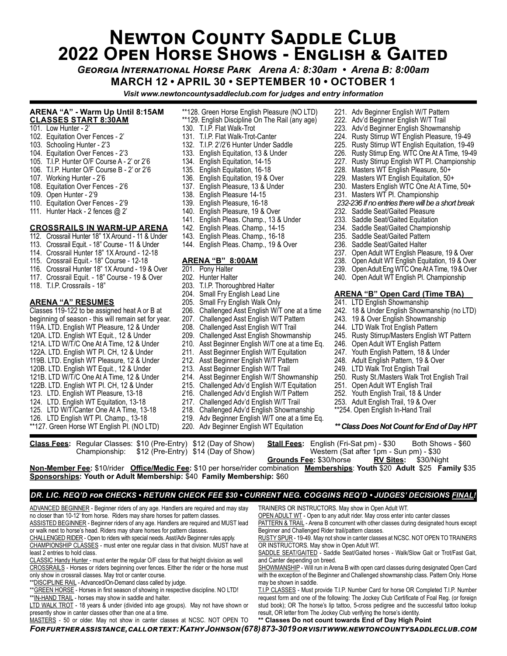# **NEWTON COUNTY SADDLE CLUB** 2022 OPEN HORSE SHOWS - ENGLISH & GAITED

GEORGIA INTERNATIONAL HORSE PARK Arena A: 8:30am • Arena B: 8:00am

MARCH 12 • APRIL 30 • SEPTEMBER 10 • OCTOBER 1

Visit www.newtoncountysaddleclub.com for judges and entry information

\*\*128. Green Horse English Pleasure (NO LTD)

#### ARENA "A" - Warm Up Until 8:15AM CLASSES START 8:30AM

- 101. Low Hunter 2'
- 102. Equitation Over Fences 2'
- 103. Schooling Hunter 2'3
- 104. Equitation Over Fences 2'3
- 105. T.I.P. Hunter O/F Course A 2' or 2'6
- 106. T.I.P. Hunter O/F Course B 2' or 2'6
- 107. Working Hunter 2'6
- 108. Equitation Over Fences 2'6
- 
- 109. Open Hunter 2'9
- 110. Equitation Over Fences 2'9
- 111. Hunter Hack 2 fences @ 2'

### CROSSRAILS IN WARM-UP ARENA

- 112. Crossrail Hunter 18" 1X Around 11 & Under
- 113. Crossrail Equit. 18" Course 11 & Under
- 114. Crossrail Hunter 18" 1X Around 12-18
- 115. Crossrail Equit.- 18" Course 12-18
- 116. Crossrail Hunter 18" 1X Around 19 & Over
- 117. Crossrail Equit. 18" Course 19 & Over
- 118. T.I.P. Crossrails 18"

#### ARENA "A" RESUMES

Classes 119-122 to be assigned heat A or B at beginning of season - this will remain set for year. 119A. LTD. English WT Pleasure, 12 & Under 120A. LTD. English WT Equit., 12 & Under 121A. LTD W/T/C One At A Time, 12 & Under 122A. LTD. English WT Pl. CH, 12 & Under 119B. LTD. English WT Pleasure, 12 & Under 120B. LTD. English WT Equit., 12 & Under 121B. LTD W/T/C One At A Time, 12 & Under 122B. LTD. English WT Pl. CH, 12 & Under 123. LTD. English WT Pleasure, 13-18 124. LTD. English WT Equitation, 13-18 125. LTD W/T/Canter One At A Time, 13-18 126. LTD English WT Pl. Champ., 13-18 \*\*127. Green Horse WT English Pl. (NO LTD)

- \*\*129. English Discipline On The Rail (any age) 130. T.I.P. Flat Walk-Trot 131. T.I.P. Flat Walk-Trot-Canter 132. T.I.P. 2'/2'6 Hunter Under Saddle 133. English Equitation, 13 & Under 134. English Equitation, 14-15 135. English Equitation, 16-18 136. English Equitation, 19 & Over 137. English Pleasure, 13 & Under 138. English Pleasure 14-15
- 139. English Pleasure, 16-18
- 140. English Pleasure, 19 & Over
- 141. English Pleas. Champ., 13 & Under
- 
- 142. English Pleas. Champ., 14-15
- 143. English Pleas. Champ., 16-18
- 144. English Pleas. Champ., 19 & Over

#### ARENA "B" 8:00AM

- 201. Pony Halter
- 202. Hunter Halter
- 203. T.I.P. Thoroughbred Halter
- 204. Small Fry English Lead Line
- 205. Small Fry English Walk Only
- 206. Challenged Asst English W/T one at a time
- 207. Challenged Asst English W/T Pattern
- 208. Challenged Asst English W/T Trail
- 209. Challenged Asst English Showmanship
- 210. Asst Beginner English W/T one at a time Eq.
- 211. Asst Beginner English W/T Equitation
- 212. Asst Beginner English W/T Pattern
- 213. Asst Beginner English W/T Trail
- 214. Asst Beginner English W/T Showmanship
- 215. Challenged Adv'd English W/T Equitation
- 216. Challenged Adv'd English W/T Pattern
- 217. Challenged Adv'd English W/T Trail
- 218. Challenged Adv'd English Showmanship
- 219. Adv Beginner English W/T one at a time Eq.
- 220. Adv Beginner English WT Equitation
- 
- Class Fees: Regular Classes: \$10 (Pre-Entry) \$12 (Day of Show) Stall Fees: English (Fri-Sat pm) \$30 Both Shows \$60 Championship: \$12 (Pre-Entry) \$14 (Day of Show) Western (Sat after 1pm - Sun pm) - \$30

Grounds Fee: \$30/horse RV Sites: \$30/Night

Non-Member Fee: \$10/rider Office/Medic Fee: \$10 per horse/rider combination Memberships: Youth \$20 Adult \$25 Family \$35 Sponsorships: Youth or Adult Membership: \$40 Family Membership: \$60

# DR. LIC. REQ'D FOR CHECKS • RETURN CHECK FEE \$30 • CURRENT NEG. COGGINS REQ'D • JUDGES' DECISIONS <u>FINAL</u>!

ADVANCED BEGINNER - Beginner riders of any age. Handlers are required and may stay no closer than 10-12' from horse. Riders may share horses for pattern classes. ASSISTED BEGINNER - Beginner riders of any age. Handlers are required and MUST lead or walk next to horse's head. Riders may share horses for pattern classes.

CHALLENGED RIDER - Open to riders with special needs. Asst/Adv Beginner rules apply. CHAMPIONSHIP CLASSES - must enter one regular class in that division. MUST have at least 2 entries to hold class.

CLASSIC Handy Hunter - must enter the regular O/F class for that height division as well CROSSRAILS - Horses or riders beginning over fences. Either the rider or the horse must only show in crossrail classes. May trot or canter course.

\*\*DISCIPLINE RAIL - Advanced/On-Demand class called by judge.

\*\* GREEN HORSE - Horses in first season of showing in respective discipline. NO LTD!

\*\*IN-HAND TRAIL - horses may show in saddle and halter.

LTD WALK TROT - 18 years & under (divided into age groups). May not have shown or presently show in canter classes other than one at a time.

MASTERS - 50 or older. May not show in canter classes at NCSC. NOT OPEN TO

TRAINERS OR INSTRUCTORS. May show in Open Adult WT.

OPEN ADULT WT - Open to any adult rider. May cross enter into canter classes PATTERN & TRAIL - Arena B concurrent with other classes during designated hours except Beginner and Challenged Rider trail/pattern classes.

RUSTY SPUR - 19-49. May not show in canter classes at NCSC. NOT OPEN TO TRAINERS OR INSTRUCTORS. May show in Open Adult WT.

SADDLE SEAT/GAITED - Saddle Seat/Gaited horses - Walk/Slow Gait or Trot/Fast Gait, and Canter depending on breed.

SHOWMANSHIP - Will run in Arena B with open card classes during designated Open Card with the exception of the Beginner and Challenged showmanship class. Pattern Only. Horse may be shown in saddle.

T.I.P CLASSES - Must provide T.I.P. Number Card for horse OR Completed T.I.P. Number request form and one of the following: The Jockey Club Certificate of Foal Reg. (or foreign stud book); OR The horse's lip tattoo, 5-cross pedigree and the successful tattoo lookup result, OR letter from The Jockey Club verifying the horse's identity.

#### \*\* Classes Do not count towards End of Day High Point

FORFURTHERASSISTANCE, CALLORTEXT: KATHYJOHNSON (678) 873-3019 ORVISIT WWW.NEWTONCOUNTYSADDLECLUB.COM

- 221. Adv Beginner English W/T Pattern 222. Adv'd Beginner English W/T Trail
- 223. Adv'd Beginner English Showmanship
- 224. Rusty Stirrup WT English Pleasure, 19-49
- 225. Rusty Stirrup WT English Equitation, 19-49<br>226. Rusty Stirrup Eng. WTC One At A Time, 19-49
- 226. Rusty Stirrup Eng. WTC One At A Time, 19-49
- Rusty Stirrup English WT Pl. Championship
- 228. Masters WT English Pleasure, 50+
- 229. Masters WT English Equitation, 50+
- 230. Masters English WTC One At A Time, 50+
- 231. Masters WT Pl. Championship
- 232-236 If no entries there will be a short break
- 232. Saddle Seat/Gaited Pleasure
- 233. Saddle Seat/Gaited Equitation
- 234. Saddle Seat/Gaited Championship
- 235. Saddle Seat/Gaited Pattern
- 236. Saddle Seat/Gaited Halter
- 237. Open Adult WT English Pleasure, 19 & Over
- 238. Open Adult WT English Equitation, 19 & Over
- 239. Open Adult Eng WTC One At A Time, 19 & Over
- 240. Open Adult WT English Pl. Championship

### ARENA "B" Open Card (Time TBA)

245. Rusty Stirrup/Masters English WT Pattern

250. Rusty St./Masters Walk Trot English Trail

\*\* Class Does Not Count for End of Day HPT

241. LTD English Showmanship

243. 19 & Over English Showmanship 244. LTD Walk Trot English Pattern

246. Open Adult WT English Pattern 247. Youth English Pattern, 18 & Under 248. Adult English Pattern, 19 & Over 249. LTD Walk Trot English Trail

251. Open Adult WT English Trail 252. Youth English Trail, 18 & Under 253. Adult English Trail, 19 & Over \*\*254. Open English In-Hand Trail

242. 18 & Under English Showmanship (no LTD)